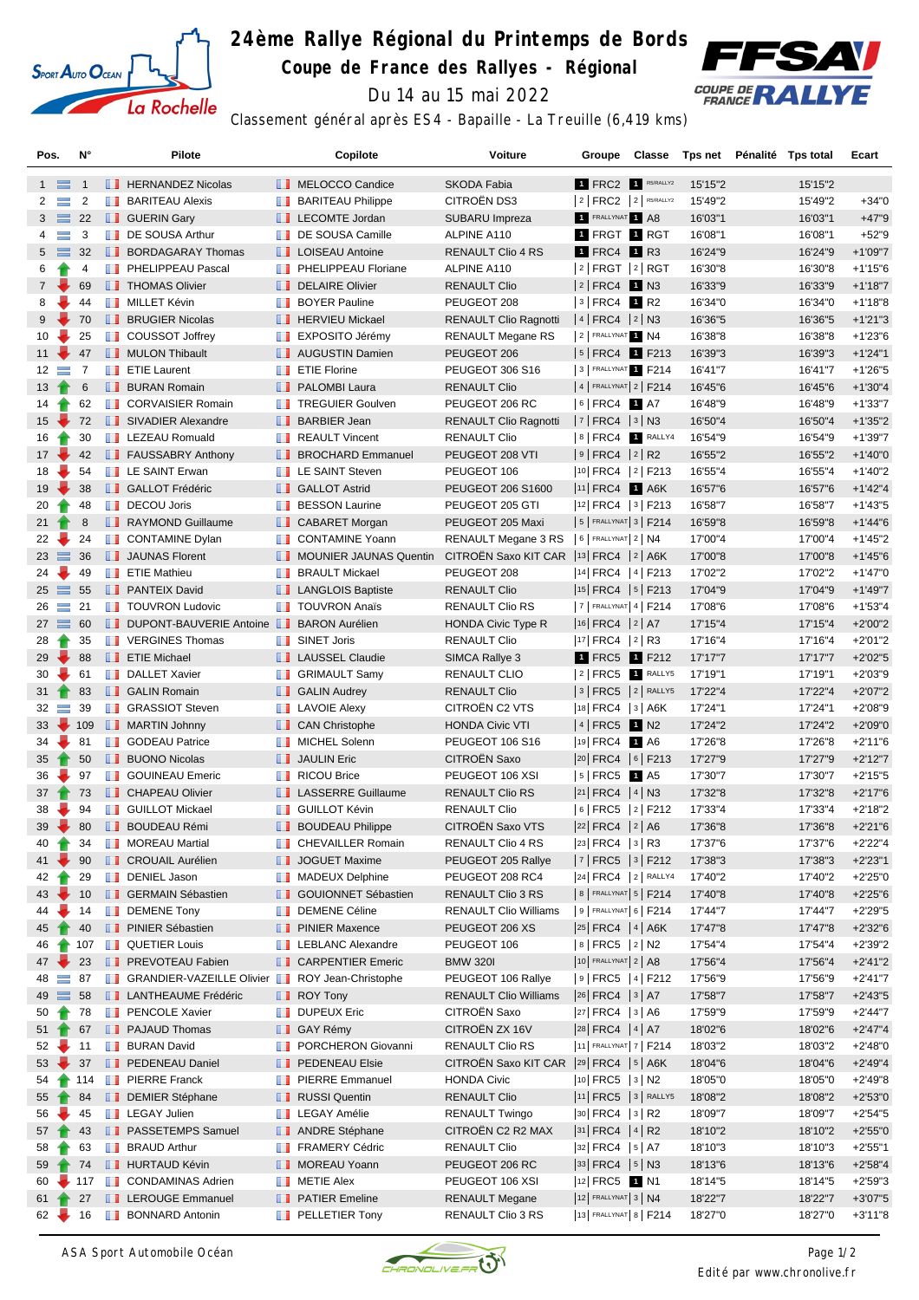

## **24ème Rallye Régional du Printemps de Bords**

**Coupe de France des Rallyes - Régional**



Du 14 au 15 mai 2022

| Classement général après ES4 - Bapaille - La Treuille (6,419 kms) |  |  |  |  |
|-------------------------------------------------------------------|--|--|--|--|
|                                                                   |  |  |  |  |

| Pos.                       | N°             | Pilote                                                        | Copilote                         | Voiture                                      | Groupe                                | Classe |         | Tps net Pénalité Tps total | Ecart                   |
|----------------------------|----------------|---------------------------------------------------------------|----------------------------------|----------------------------------------------|---------------------------------------|--------|---------|----------------------------|-------------------------|
| $1 \equiv$                 | $\overline{1}$ | <b>FERNANDEZ Nicolas</b>                                      | MELOCCO Candice                  | SKODA Fabia                                  | <b>1 FRC2 R5/RALLY2</b>               |        | 15'15"2 | 15'15"2                    |                         |
| $\equiv$<br>$\mathbf{2}$   | $\overline{2}$ | <b>BARITEAU Alexis</b>                                        | <b>BARITEAU Philippe</b>         | CITROËN DS3                                  | $ 2 $ FRC2 $ 2 $ R5/RALLY2            |        | 15'49"2 | 15'49"2                    | $+34"0$                 |
| $3 \equiv$                 | 22             | <b>B</b> GUERIN Gary                                          | LECOMTE Jordan                   | SUBARU Impreza                               | FRALLYNAT 1 A8                        |        | 16'03"1 | 16'03"1                    | $+47"9$                 |
| $\equiv$<br>$\overline{4}$ | 3              | DE SOUSA Arthur                                               | DE SOUSA Camille                 | ALPINE A110                                  | 1 FRGT 1 RGT                          |        | 16'08"1 | 16'08"1                    | $+52"9$                 |
| $5 \equiv$                 | 32             | <b>BORDAGARAY Thomas</b>                                      | <b>LE</b> LOISEAU Antoine        | RENAULT Clio 4 RS                            | $\blacksquare$ FRC4 $\blacksquare$ R3 |        | 16'24"9 | 16'24"9                    | $+1'09"7$               |
| 6                          | 4              | <b>FRICAL PHELIPPEAU Pascal</b>                               | <b>PHELIPPEAU Floriane</b>       | ALPINE A110                                  | $ 2 $ FRGT $ 2 $ RGT                  |        | 16'30"8 | 16'30"8                    | $+1'15"6$               |
| $7\overline{ }$            | 69             | <b>THOMAS Olivier</b>                                         | DELAIRE Olivier                  | <b>RENAULT Clio</b>                          | $ 2 $ FRC4 1 N3                       |        | 16'33"9 | 16'33"9                    | $+1'18"7$               |
| 8                          | ۳,<br>44       | <b>NILLET Kévin</b>                                           | <b>BOYER Pauline</b>             | PEUGEOT 208                                  | $ 3 $ FRC4 1 R2                       |        | 16'34"0 | 16'34"0                    | $+1'18"8$               |
| 9                          | 70             | <b>BRUGIER Nicolas</b>                                        |                                  |                                              | $ 4 $ FRC4 $ 2 $ N3                   |        |         |                            |                         |
|                            |                | <b>COUSSOT Joffrey</b>                                        | <b>F</b> HERVIEU Mickael         | <b>RENAULT Clio Ragnotti</b>                 | 2 FRALLYNAT 1 N4                      |        | 16'36"5 | 16'36"5                    | $+1'21''3$<br>$+1'23'6$ |
| 10<br>$11 -$               | 25             |                                                               | <b>EXPOSITO Jérémy</b>           | <b>RENAULT Megane RS</b>                     |                                       |        | 16'38"8 | 16'38"8                    |                         |
|                            | 47             | MULON Thibault                                                | <b>NET</b> AUGUSTIN Damien       | PEUGEOT 206                                  | $ 5 $ FRC4 1 F213                     |        | 16'39"3 | 16'39"3                    | $+1'24"1$               |
| $12 \equiv$                | $\overline{7}$ | <b>T</b> ETIE Laurent                                         | <b>Example 7</b> ETIE Florine    | PEUGEOT 306 S16                              | 3 FRALLYNAT 1 F214                    |        | 16'41"7 | 16'41"7                    | $+1'26''5$              |
| $13 +$                     | 6              | <b>BURAN Romain</b>                                           | <b>PALOMBI Laura</b>             | <b>RENAULT Clio</b>                          | $ 4 $ FRALLYNAT $ 2 $ F214            |        | 16'45"6 | 16'45"6                    | $+1'30''4$              |
| $14 \rightarrow$           | 62             | <b>CORVAISIER Romain</b>                                      | <b>TREGUIER Goulven</b>          | PEUGEOT 206 RC                               | $ 6 $ FRC4 1 A7                       |        | 16'48"9 | 16'48"9                    | $+1'33"7$               |
| $15 -$                     | 72             | SIVADIER Alexandre                                            | <b>BARBIER Jean</b>              | <b>RENAULT Clio Ragnotti</b>                 | $ 7 $ FRC4 $ 3 $ N3                   |        | 16'50"4 | 16'50"4                    | $+1'35"2$               |
| 16                         | 30             | <b>EXECUED</b> LEZEAU Romuald                                 | <b>REAULT Vincent</b>            | <b>RENAULT Clio</b>                          | 8 FRC4 1 RALLY4                       |        | 16'54"9 | 16'54"9                    | $+1'39''7$              |
| $17 -$                     | 42             | <b>FAUSSABRY Anthony</b>                                      | <b>BROCHARD</b> Emmanuel         | PEUGEOT 208 VTI                              | $ 9 $ FRC4 $ 2 $ R2                   |        | 16'55"2 | 16'55"2                    | $+1'40"0$               |
| 18                         | 54             | <b>EXAINT Erwan</b>                                           | <b>LE SAINT Steven</b>           | PEUGEOT 106                                  | $ 10 $ FRC4 $ 2 $ F213                |        | 16'55"4 | 16'55"4                    | $+1'40''2$              |
| $19 -$                     | 38             | <b>B</b> GALLOT Frédéric                                      | <b>B</b> GALLOT Astrid           | PEUGEOT 206 S1600                            | 11 FRC4 1 A6K                         |        | 16'57"6 | 16'57"6                    | $+1'42''4$              |
| 20<br>Ŧ                    | 48             | <b>DECOU Joris</b>                                            | <b>BESSON Laurine</b>            | PEUGEOT 205 GTI                              | $ 12 $ FRC4 $ 3 $ F213                |        | 16'58"7 | 16'58"7                    | $+1'43'5$               |
| $21 \t{}$                  | 8              | RAYMOND Guillaume                                             | CABARET Morgan                   | PEUGEOT 205 Maxi                             | $ 5 $ FRALLYNAT $ 3 $ F214            |        | 16'59"8 | 16'59"8                    | $+1'44''6$              |
| $22 -$                     | 24             | <b>CONTAMINE Dylan</b>                                        | CONTAMINE Yoann                  | RENAULT Megane 3 RS   6   FRALLYNAT   2   N4 |                                       |        | 17'00"4 | 17'00"4                    | $+1'45''2$              |
| $23 \equiv$                | 36             | <b>JAUNAS Florent</b>                                         | <b>I</b> MOUNIER JAUNAS Quentin  | CITROËN Saxo KIT CAR  13 FRC4   2   A6K      |                                       |        | 17'00"8 | 17'00"8                    | $+1'45''6$              |
| ÷<br>24                    | 49             | <b>FETIE Mathieu</b>                                          | <b>BRAULT Mickael</b>            | PEUGEOT 208                                  | $ 14 $ FRC4 $ 4 $ F213                |        | 17'02"2 | 17'02"2                    | $+1'47"0$               |
| $25 \equiv$                | 55             | <b>PANTEIX David</b>                                          | <b>LANGLOIS Baptiste</b>         | <b>RENAULT Clio</b>                          | $ 15 $ FRC4 $ 5 $ F213                |        | 17'04"9 | 17'04"9                    | $+1'49''7$              |
| $26 =$                     | 21             | <b>TOUVRON Ludovic</b>                                        | <b>TOUVRON Anaïs</b>             | RENAULT Clio RS                              | $ 7 $ FRALLYNAT 4   F214              |        | 17'08"6 | 17'08"6                    | $+1'53''4$              |
| $27 \equiv 60$             |                | DUPONT-BAUVERIE Antoine BARON Aurélien                        |                                  | <b>HONDA Civic Type R</b>                    | $ 16 $ FRC4 $ 2 $ A7                  |        | 17'15"4 | 17'15"4                    | $+2'00"2$               |
| 28<br>$\blacksquare$       | 35             | <b>T</b> VERGINES Thomas                                      | <b>B</b> SINET Joris             | RENAULT Clio                                 | $ 17 $ FRC4 $ 2 $ R3                  |        | 17'16"4 | 17'16"4                    | $+2'01"2$               |
| 29                         | 88             | <b>ETIE Michael</b>                                           | <b>LAUSSEL Claudie</b>           | SIMCA Rallye 3                               | 1 FRC5 1 F212                         |        | 17'17"7 | 17'17"7                    | $+2'02"5$               |
| ₩<br>30                    | 61             | DALLET Xavier                                                 | <b>B</b> GRIMAULT Samy           | RENAULT CLIO                                 | $ 2 $ FRC5 1 RALLY5                   |        | 17'19"1 | 17'19"1                    | $+2'03''9$              |
| $31 -$                     | 83             | <b>B</b> GALIN Romain                                         | <b>B</b> GALIN Audrey            | <b>RENAULT Clio</b>                          | $ 3 $ FRC5 $ 2 $ RALLY5               |        | 17'22"4 | 17'22"4                    | $+2'07"2$               |
| $32 =$                     | 39             | <b>B</b> GRASSIOT Steven                                      | <b>EXECUTE Alexy</b>             | CITROËN C2 VTS                               | 18 FRC4 3 A6K                         |        | 17'24"1 | 17'24"1                    | $+2'08''9$              |
| $33 - 109$                 |                | <b>MARTIN Johnny</b>                                          | <b>CAN Christophe</b>            | <b>HONDA Civic VTI</b>                       | 4 FRC5 1 N2                           |        | 17'24"2 | 17'24"2                    | $+2'09"0$               |
| ÷<br>34                    | 81             | <b>B</b> GODEAU Patrice                                       | MICHEL Solenn                    | <b>PEUGEOT 106 S16</b>                       | 19 FRC4 1 A6                          |        | 17'26"8 | 17'26"8                    | $+2'11''6$              |
| 35                         | 50             | <b>BUONO Nicolas</b>                                          | <b>JAULIN Eric</b>               | CITROËN Saxo                                 | 20 FRC4   6   F213                    |        | 17'27"9 | 17'27"9                    | $+2'12"7$               |
| 36                         | 97             | <b>B</b> GOUINEAU Emeric                                      | <b>RICOU Brice</b>               | PEUGEOT 106 XSI                              | $ 5 $ FRC5 1 A5                       |        | 17'30"7 | 17'30"7                    | $+2'15"5$               |
| 37 <sup>1</sup>            | 73             | <b>CHAPEAU Olivier</b>                                        | <b>LE</b> LASSERRE Guillaume     | <b>RENAULT Clio RS</b>                       | $ 21 $ FRC4 $ 4 $ N3                  |        | 17'32"8 | 17'32"8                    | $+2'17"6$               |
| 38                         | 94             | <b>B</b> GUILLOT Mickael                                      | <b>B</b> GUILLOT Kévin           | <b>RENAULT Clio</b>                          | $ 6 $ FRC5 $ 2 $ F212                 |        | 17'33"4 | 17'33"4                    | $+2'18''2$              |
| $39 -$                     | 80             | <b>BOUDEAU Rémi</b>                                           | <b>BOUDEAU Philippe</b>          | <b>CITROEN Saxo VTS</b>                      | $ 22 $ FRC4 $ 2 A6$                   |        | 17'36"8 | 17'36"8                    | $+2'21"6$               |
| 40                         | 34             | <b>NOREAU Martial</b>                                         | CHEVAILLER Romain                | RENAULT Clio 4 RS                            | $ 23 $ FRC4 $ 3 $ R3                  |        | 17'37"6 | 17'37"6                    | $+2'22"4$               |
| $\blacksquare$<br>$41 -$   | 90             |                                                               |                                  |                                              | $ 7 $ FRC5 $ 3 $ F212                 |        |         |                            |                         |
|                            |                | <b>CROUAIL Aurélien</b>                                       | JOGUET Maxime                    | PEUGEOT 205 Rallye                           |                                       |        | 17'38"3 | 17'38"3                    | $+2'23"1$               |
| 42                         | 29             | <b>DENIEL Jason</b>                                           | <b>NADEUX Delphine</b>           | PEUGEOT 208 RC4                              | 24 FRC4 $ 2 $ RALLY4                  |        | 17'40"2 | 17'40"2                    | $+2'25"0$               |
| $43 -$                     | 10             | <b>B</b> GERMAIN Sébastien                                    | <b>B</b> GOUIONNET Sébastien     | RENAULT Clio 3 RS                            | 8   FRALLYNAT 5   F214                |        | 17'40"8 | 17'40"8                    | $+2'25''6$              |
| 44                         | 14             | <b>DEMENE Tony</b>                                            | <b>DEMENE Céline</b>             | <b>RENAULT Clio Williams</b>                 | $ 9 $ FRALLYNAT 6   F214              |        | 17'44"7 | 17'44"7                    | $+2'29"5$               |
| 45                         | 40             | <b>FINIER Sébastien</b>                                       | <b>PINIER Maxence</b>            | PEUGEOT 206 XS                               | $ 25 $ FRC4   4   A6K                 |        | 17'47"8 | 17'47"8                    | $+2'32"6$               |
| 46                         |                | 107 <b>QUETIER Louis</b>                                      | <b>EXECUTE LEBLANC Alexandre</b> | PEUGEOT 106                                  | $ 8 $ FRC5 $ 2 $ N2                   |        | 17'54"4 | 17'54"4                    | $+2'39''2$              |
| $47 -$                     | 23             | <b>FREVOTEAU Fabien</b>                                       | <b>CARPENTIER Emeric</b>         | <b>BMW 3201</b>                              | $ 10 $ FRALLYNAT $ 2 AB$              |        | 17'56"4 | 17'56"4                    | $+2'41''2$              |
| 48<br>$=$                  | 87             | <b>F</b> GRANDIER-VAZEILLE Olivier <b>ROY Jean-Christophe</b> |                                  | PEUGEOT 106 Rallye                           | $ 9 $ FRC5 $ 4 $ F212                 |        | 17'56"9 | 17'56"9                    | $+2'41''7$              |
| $49 \equiv$                | 58             | <b>LE</b> LANTHEAUME Frédéric                                 | $\blacksquare$ ROY Tony          | <b>RENAULT Clio Williams</b>                 | $ 26 $ FRC4 $ 3 $ A7                  |        | 17'58"7 | 17'58"7                    | $+2'43''5$              |
| 50<br>$\blacksquare$       | 78             | <b>FRI</b> PENCOLE Xavier                                     | <b>DUPEUX Eric</b>               | CITROËN Saxo                                 | $ 27 $ FRC4 $ 3 $ A6                  |        | 17'59"9 | 17'59"9                    | $+2'44''7$              |
| 51 <sub>1</sub>            | 67             | <b>PAJAUD Thomas</b>                                          | <b>B</b> GAY Rémy                | CITROEN ZX 16V                               | 28 FRC4 4 A7                          |        | 18'02"6 | 18'02"6                    | $+2'47''4$              |
| 52                         | 11             | <b>BURAN David</b>                                            | <b>FI PORCHERON Giovanni</b>     | RENAULT Clio RS                              | 11 FRALLYNAT 7   F214                 |        | 18'03"2 | 18'03"2                    | $+2'48"0$               |
| $53 \rightarrow$           | 37             | <b>PEDENEAU Daniel</b>                                        | <b>PEDENEAU Elsie</b>            | CITROËN Saxo KIT CAR  29 FRC4   5   A6K      |                                       |        | 18'04"6 | 18'04"6                    | $+2'49''4$              |
| 54                         | 114            | <b>FI</b> PIERRE Franck                                       | <b>FI</b> PIERRE Emmanuel        | <b>HONDA Civic</b>                           | 10 FRC5 3 N2                          |        | 18'05"0 | 18'05"0                    | $+2'49''8$              |
| $55$ 1                     | 84             | DEMIER Stéphane                                               | RUSSI Quentin                    | <b>RENAULT Clio</b>                          | $ 11 $ FRC5 $ 3 $ RALLY5              |        | 18'08"2 | 18'08"2                    | $+2'53''0$              |
| 56                         | 45             | <b>EXECUTE:</b> LEGAY Julien                                  | <b>LEGAY Amélie</b>              | <b>RENAULT Twingo</b>                        | $ 30 $ FRC4 $ 3 $ R2                  |        | 18'09"7 | 18'09"7                    | $+2'54''5$              |
| $57-1$                     | 43             | <b>Fig.</b> PASSETEMPS Samuel                                 | <b>ANDRE Stéphane</b>            | CITROEN C2 R2 MAX                            | $ 31 $ FRC4 $ 4 $ R2                  |        | 18'10"2 | 18'10"2                    | $+2'55"0$               |
| 58                         | 63             | <b>BRAUD Arthur</b>                                           | <b>FRAMERY Cédric</b>            | <b>RENAULT Clio</b>                          | 32 FRC4 5 A7                          |        | 18'10"3 | 18'10"3                    | $+2'55"1$               |
| 59                         | 74             | <b>B</b> HURTAUD Kévin                                        | MOREAU Yoann                     | PEUGEOT 206 RC                               | $ 33 $ FRC4 $ 5 $ N3                  |        | 18'13"6 | 18'13"6                    | $+2'58''4$              |
| 60                         | 117            | <b>CONDAMINAS Adrien</b>                                      | <b>T</b> METIE Alex              | PEUGEOT 106 XSI                              | 12 FRC5 1 N1                          |        | 18'14"5 | 18'14"5                    | $+2'59''3$              |
| $61 \rightarrow$           | 27             | <b>LEROUGE Emmanuel</b>                                       | <b>PATIER Emeline</b>            | <b>RENAULT Megane</b>                        | $ 12 $ FRALLYNAT $ 3 N4$              |        | 18'22"7 | 18'22"7                    | $+3'07"5$               |
| $62 \rightarrow$           | 16             | <b>BONNARD Antonin</b>                                        | <b>FELLETIER Tony</b>            | RENAULT Clio 3 RS                            | 13 FRALLYNAT 8   F214                 |        | 18'27"0 | 18'27"0                    | $+3'11''8$              |